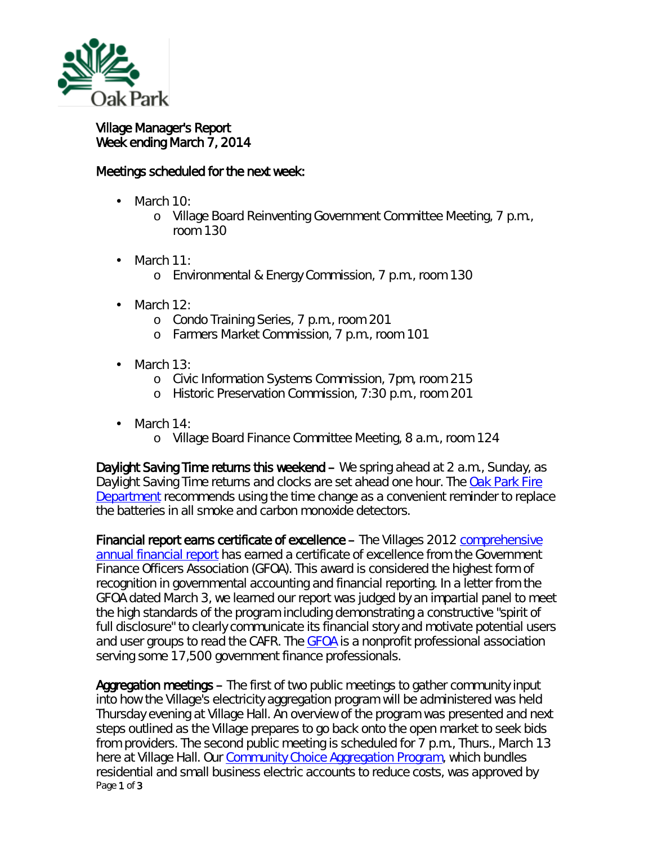

## Village Manager's Report Week ending March 7, 2014

## Meetings scheduled for the next week:

- March 10:  $\overline{a}$ 
	- o Village Board Reinventing Government Committee Meeting, 7 p.m., room 130
- March 11: L.
	- o Environmental & Energy Commission, 7 p.m., room 130
- March 12:
	- o Condo Training Series, 7 p.m., room 201
	- o Farmers Market Commission, 7 p.m., room 101
- March 13:
	- o Civic Information Systems Commission, 7pm, room 215
	- o Historic Preservation Commission, 7:30 p.m., room 201
- $\mathcal{L}^{\text{max}}$ March 14:
	- o Village Board Finance Committee Meeting, 8 a.m., room 124

Daylight Saving Time returns this weekend – We spring ahead at 2 a.m., Sunday, as Daylight Saving Time returns and clocks are set ahead one hour. The Oak Park Fire **[Department](http://r20.rs6.net/tn.jsp?e=001k2RtgbQ89HHdlXOLy0Q1dKkwO2Iv8eo0QtfVdIJzz1N2Jq3FDMmQl7Nnu_yC7p_vfBCQnOsfjsA7Wb2Hcx_-oWuxHpDnTplNVSO0XAz3rRLKE_xBSJs4g4biYOkWIXPo1RqkS31Pf58ifbkteeBrMA==)** recommends using the time change as a convenient reminder to replace the batteries in all smoke and carbon monoxide detectors.

Financial report earns certificate of excellence – The Villages 2012 [comprehensive](http://www.oak-park.us/your-government/budget-purchasing/financial-reports)  [annual financial report](http://www.oak-park.us/your-government/budget-purchasing/financial-reports) has earned a certificate of excellence from the Government Finance Officers Association (GFOA). This award is considered the highest form of recognition in governmental accounting and financial reporting. In a letter from the GFOA dated March 3, we learned our report was judged by an impartial panel to meet the high standards of the program including demonstrating a constructive "spirit of full disclosure" to clearly communicate its financial story and motivate potential users and user groups to read the CAFR. The [GFOA](http://www.gfoa.org/) is a nonprofit professional association serving some 17,500 government finance professionals.

Page 1 of 3 Aggregation meetings – The first of two public meetings to gather community input into how the Village's electricity aggregation program will be administered was held Thursday evening at Village Hall. An overview of the program was presented and next steps outlined as the Village prepares to go back onto the open market to seek bids from providers. The second public meeting is scheduled for 7 p.m., Thurs., March 13 here at Village Hall. Our [Community Choice Aggregation Program,](http://r20.rs6.net/tn.jsp?e=001k2RtgbQ89HHdlXOLy0Q1dKkwO2Iv8eo0QtfVdIJzz1N2Jq3FDMmQl7Nnu_yC7p_vfBCQnOsfjsA7Wb2Hcx_-oWuxHpDnTplN8V9gk_zPIWcNjEMoV5qZ8RUCy1jCQ8YqTE43OEcW6YAaNLz85Ydf4pXBgIY9sCw5Sbs5s8IcHoeV6dS6u2wcZPStfEt6CjVqW39Jze6pCvY=) which bundles residential and small business electric accounts to reduce costs, was approved by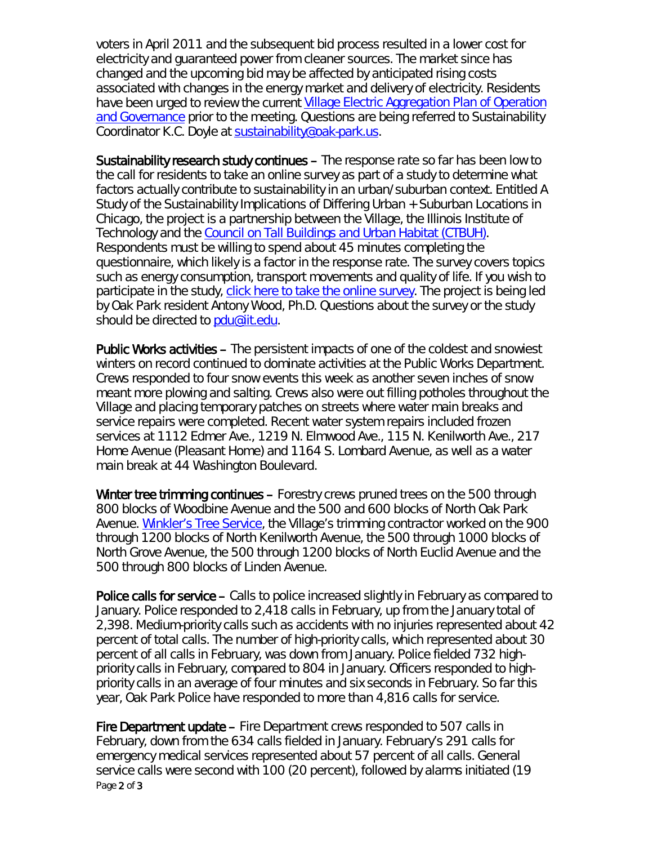voters in April 2011 and the subsequent bid process resulted in a lower cost for electricity and guaranteed power from cleaner sources. The market since has changed and the upcoming bid may be affected by anticipated rising costs associated with changes in the energy market and delivery of electricity. Residents have been urged to review the current [Village Electric Aggregation Plan of Operation](http://r20.rs6.net/tn.jsp?e=001k2RtgbQ89HHdlXOLy0Q1dKkwO2Iv8eo0QtfVdIJzz1N2Jq3FDMmQl7Nnu_yC7p_vfBCQnOsfjsA7Wb2Hcx_-oWuxHpDnTplNdJkvrVyzGW2zK5Vl8Yv2HbZkvQk_zwTqFuaHB0VOXjoeiGQx7E9aUzsiz2VDsEFO-hAEikIcvO4wfiGNdT8lKpyYTmEDmRuSZcnkWa7GSTOPMA_jk68qy6PhqUMNl18NyA6cd0X6ZqXQcbs36Q8OJA==)  [and Governance](http://r20.rs6.net/tn.jsp?e=001k2RtgbQ89HHdlXOLy0Q1dKkwO2Iv8eo0QtfVdIJzz1N2Jq3FDMmQl7Nnu_yC7p_vfBCQnOsfjsA7Wb2Hcx_-oWuxHpDnTplNdJkvrVyzGW2zK5Vl8Yv2HbZkvQk_zwTqFuaHB0VOXjoeiGQx7E9aUzsiz2VDsEFO-hAEikIcvO4wfiGNdT8lKpyYTmEDmRuSZcnkWa7GSTOPMA_jk68qy6PhqUMNl18NyA6cd0X6ZqXQcbs36Q8OJA==) prior to the meeting. Questions are being referred to Sustainability Coordinator K.C. Doyle at [sustainability@oak-park.us.](mailto:sustainability@oak-park.us)

Sustainability research study continues – The response rate so far has been low to the call for residents to take an online survey as part of a study to determine what factors actually contribute to sustainability in an urban/suburban context. Entitled *A Study of the Sustainability Implications of Differing Urban + Suburban Locations in Chicago*, the project is a partnership between the Village, the Illinois Institute of Technology and the [Council on Tall Buildings and Urban Habitat \(CTBUH\).](http://r20.rs6.net/tn.jsp?e=001k2RtgbQ89HHdlXOLy0Q1dKkwO2Iv8eo0QtfVdIJzz1N2Jq3FDMmQl7Nnu_yC7p_vfBCQnOsfjsCxJ5L_NMfgaYLtZOq3OTmB18Ngtcr09fI=) Respondents must be willing to spend about 45 minutes completing the questionnaire, which likely is a factor in the response rate. The survey covers topics such as energy consumption, transport movements and quality of life. If you wish to participate in the study, [click here to take the](http://r20.rs6.net/tn.jsp?e=001k2RtgbQ89HHdlXOLy0Q1dKkwO2Iv8eo0QtfVdIJzz1N2Jq3FDMmQl7Nnu_yC7p_vfBCQnOsfjsCONMTZKSMTr_mpCYhQmWRvEZBtU88Bf3isfVfA91BnjbgwCFA-jnzGktKIFN79mTE=) online survey. The project is being led by Oak Park resident Antony Wood, Ph.D. Questions about the survey or the study should be directed to [pdu@iit.edu.](mailto:pdu@iit.edu)

Public Works activities – The persistent impacts of one of the coldest and snowiest winters on record continued to dominate activities at the Public Works Department. Crews responded to four snow events this week as another seven inches of snow meant more plowing and salting. Crews also were out filling potholes throughout the Village and placing temporary patches on streets where water main breaks and service repairs were completed. Recent water system repairs included frozen services at 1112 Edmer Ave., 1219 N. Elmwood Ave., 115 N. Kenilworth Ave., 217 Home Avenue (Pleasant Home) and 1164 S. Lombard Avenue, as well as a water main break at 44 Washington Boulevard.

Winter tree trimming continues – Forestry crews pruned trees on the 500 through 800 blocks of Woodbine Avenue and the 500 and 600 blocks of North Oak Park Avenue. [Winkler's Tree Service,](http://www.winklerstreeservice.com/) the Village's trimming contractor worked on the 900 through 1200 blocks of North Kenilworth Avenue, the 500 through 1000 blocks of North Grove Avenue, the 500 through 1200 blocks of North Euclid Avenue and the 500 through 800 blocks of Linden Avenue.

Police calls for service – Calls to police increased slightly in February as compared to January. Police responded to 2,418 calls in February, up from the January total of 2,398. Medium-priority calls such as accidents with no injuries represented about 42 percent of total calls. The number of high-priority calls, which represented about 30 percent of all calls in February, was down from January. Police fielded 732 highpriority calls in February, compared to 804 in January. Officers responded to highpriority calls in an average of four minutes and six seconds in February. So far this year, Oak Park Police have responded to more than 4,816 calls for service.

Page 2 of 3 Fire Department update – Fire Department crews responded to 507 calls in February, down from the 634 calls fielded in January. February's 291 calls for emergency medical services represented about 57 percent of all calls. General service calls were second with 100 (20 percent), followed by alarms initiated (19